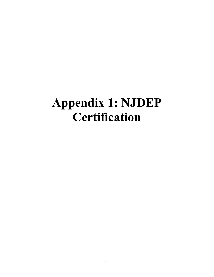## **Appendix 1: NJDEP Certification**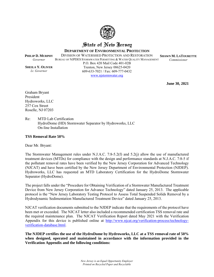

## State of New Jersey

**DEPARTMENT OF ENVIRONMENTAL PROTECTION**

DIVISION OF WATERSHED PROTECTION AND RESTORATION

BUREAU OF NJPDES STORMWATER PERMITTING & WATER QUALITY MANAGEMENT

**SHAWN M. LATOURETTE** *Commissioner* 

**June 30, 2021** 

**SHEILA Y. OLIVER** *Lt. Governor*

**PHILIP D. MURPHY** *Governor* 

P.O. Box 420 Mail Code 401-02B Trenton, New Jersey 08625-0420 609-633-7021 / Fax: 609-777-0432 www.njstormwater.org

Graham Bryant President Hydroworks, LLC 257 Cox Street Roselle, NJ 07203

Re: MTD Lab Certification HydroDome (HD) Stormwater Separator by Hydroworks, LLC On-line Installation

## **TSS Removal Rate 50%**

Dear Mr. Bryant:

The Stormwater Management rules under N.J.A.C. 7:8-5.2(f) and 5.2(j) allow the use of manufactured treatment devices (MTDs) for compliance with the design and performance standards at N.J.A.C. 7:8-5 if the pollutant removal rates have been verified by the New Jersey Corporation for Advanced Technology (NJCAT) and have been certified by the New Jersey Department of Environmental Protection (NJDEP). Hydroworks, LLC has requested an MTD Laboratory Certification for the HydroDome Stormwater Separator (HydroDome).

The project falls under the "Procedure for Obtaining Verification of a Stormwater Manufactured Treatment Device from New Jersey Corporation for Advance Technology" dated January 25, 2013. The applicable protocol is the "New Jersey Laboratory Testing Protocol to Assess Total Suspended Solids Removal by a Hydrodynamic Sedimentation Manufactured Treatment Device" dated January 25, 2013.

NJCAT verification documents submitted to the NJDEP indicate that the requirements of the protocol have been met or exceeded. The NJCAT letter also included a recommended certification TSS removal rate and the required maintenance plan. The NJCAT Verification Report dated May 2021 with the Verification Appendix for this device is published online at http://www.njcat.org/verification-process/technologyverification-database.html.

**The NJDEP certifies the use of the HydroDome by Hydroworks, LLC at a TSS removal rate of 50% when designed, operated and maintained in accordance with the information provided in the Verification Appendix and the following conditions:**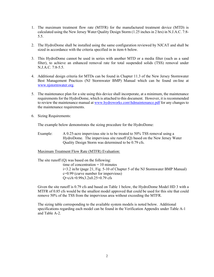- 1. The maximum treatment flow rate (MTFR) for the manufactured treatment device (MTD) is calculated using the New Jersey Water Quality Design Storm (1.25 inches in 2 hrs) in N.J.A.C. 7:8- 5.5.
- 2. The HydroDome shall be installed using the same configuration reviewed by NJCAT and shall be sized in accordance with the criteria specified in in item 6 below.
- 3. This HydroDome cannot be used in series with another MTD or a media filter (such as a sand filter), to achieve an enhanced removal rate for total suspended solids (TSS) removal under N.J.A.C. 7:8-5.5.
- 4. Additional design criteria for MTDs can be found in Chapter 11.3 of the New Jersey Stormwater Best Management Practices (NJ Stormwater BMP) Manual which can be found on-line at www.njstormwater.org.
- 5. The maintenance plan for a site using this device shall incorporate, at a minimum, the maintenance requirements for the HydroDome, which is attached to this document. However, it is recommended to review the maintenance manual at www.hydroworks.com\hdmaintenance.pdf for any changes to the maintenance requirements.
- 6. Sizing Requirements:

The example below demonstrates the sizing procedure for the HydroDome:

Example: A 0.25-acre impervious site is to be treated to 50% TSS removal using a HydroDome. The impervious site runoff (Q) based on the New Jersey Water Quality Design Storm was determined to be 0.79 cfs.

## Maximum Treatment Flow Rate (MTFR) Evaluation:

The site runoff  $(Q)$  was based on the following: time of concentration  $= 10$  minutes i=3.2 in/hr (page 21, Fig. 5-10 of Chapter 5 of the NJ Stormwater BMP Manual) c=0.99 (curve number for impervious) Q=ciA=0.99x3.2x0.25=0.79 cfs

Given the site runoff is 0.79 cfs and based on Table 1 below, the HydroDome Model HD 3 with a MTFR of 0.85 cfs would be the smallest model approved that could be used for this site that could remove 50% of the TSS from the impervious area without exceeding the MTFR.

The sizing table corresponding to the available system models is noted below. Additional specifications regarding each model can be found in the Verification Appendix under Table A-1 and Table A-2.